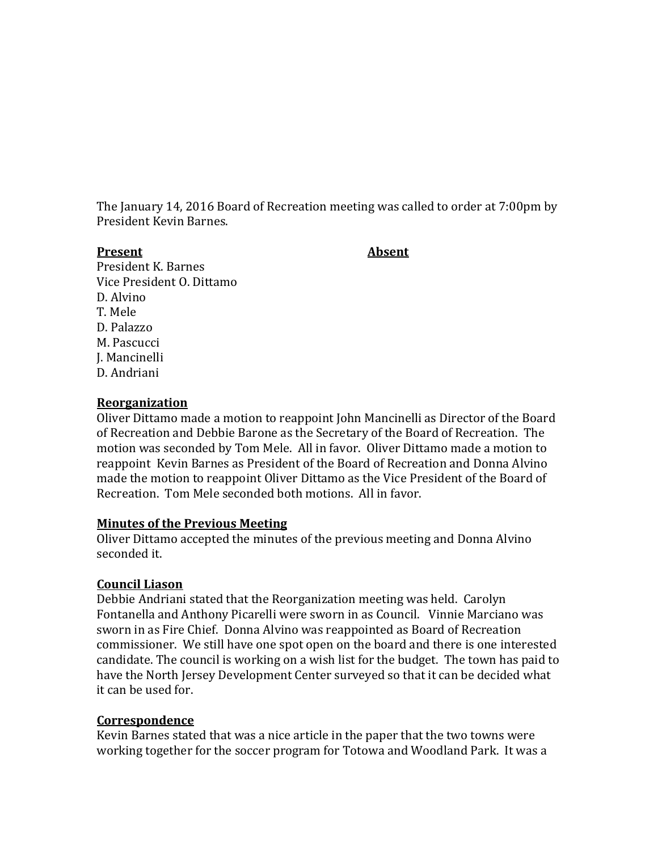The January 14, 2016 Board of Recreation meeting was called to order at 7:00pm by President Kevin Barnes.

#### **Present Absent**

President K. Barnes Vice President O. Dittamo D. Alvino T. Mele D. Palazzo M. Pascucci J. Mancinelli D. Andriani

#### **Reorganization**

Oliver Dittamo made a motion to reappoint John Mancinelli as Director of the Board of Recreation and Debbie Barone as the Secretary of the Board of Recreation. The motion was seconded by Tom Mele. All in favor. Oliver Dittamo made a motion to reappoint Kevin Barnes as President of the Board of Recreation and Donna Alvino made the motion to reappoint Oliver Dittamo as the Vice President of the Board of Recreation. Tom Mele seconded both motions. All in favor.

# **Minutes of the Previous Meeting**

Oliver Dittamo accepted the minutes of the previous meeting and Donna Alvino seconded it.

# **Council Liason**

Debbie Andriani stated that the Reorganization meeting was held. Carolyn Fontanella and Anthony Picarelli were sworn in as Council. Vinnie Marciano was sworn in as Fire Chief. Donna Alvino was reappointed as Board of Recreation commissioner. We still have one spot open on the board and there is one interested candidate. The council is working on a wish list for the budget. The town has paid to have the North Jersey Development Center surveyed so that it can be decided what it can be used for.

# **Correspondence**

Kevin Barnes stated that was a nice article in the paper that the two towns were working together for the soccer program for Totowa and Woodland Park. It was a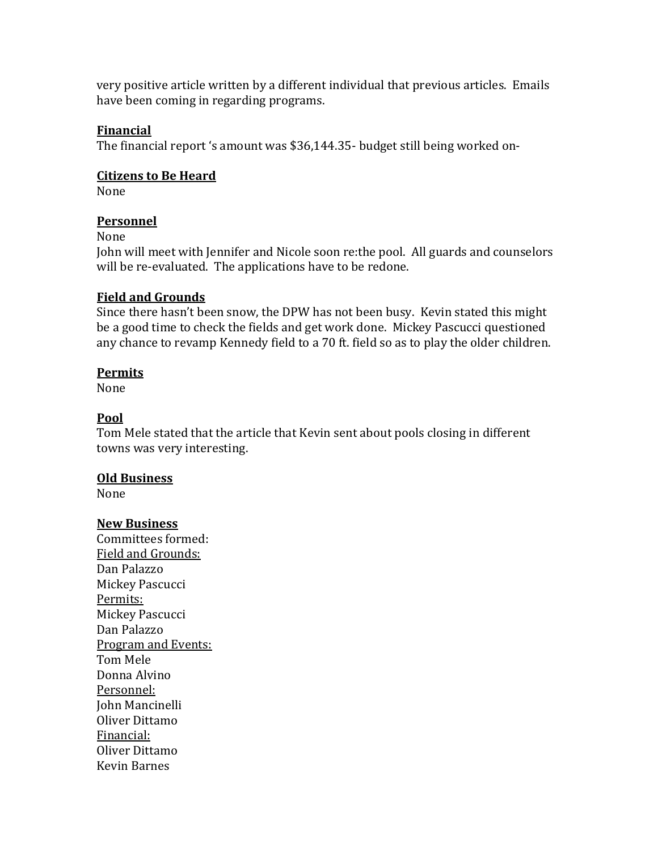very positive article written by a different individual that previous articles. Emails have been coming in regarding programs.

# **Financial**

The financial report 's amount was \$36,144.35- budget still being worked on-

# **Citizens to Be Heard**

None

# **Personnel**

None

John will meet with Jennifer and Nicole soon re:the pool. All guards and counselors will be re-evaluated. The applications have to be redone.

# **Field and Grounds**

Since there hasn't been snow, the DPW has not been busy. Kevin stated this might be a good time to check the fields and get work done. Mickey Pascucci questioned any chance to revamp Kennedy field to a 70 ft. field so as to play the older children.

# **Permits**

None

# **Pool**

Tom Mele stated that the article that Kevin sent about pools closing in different towns was very interesting.

# **Old Business**

None

# **New Business**

Committees formed: Field and Grounds: Dan Palazzo Mickey Pascucci Permits: Mickey Pascucci Dan Palazzo Program and Events: Tom Mele Donna Alvino Personnel: John Mancinelli Oliver Dittamo Financial: Oliver Dittamo Kevin Barnes